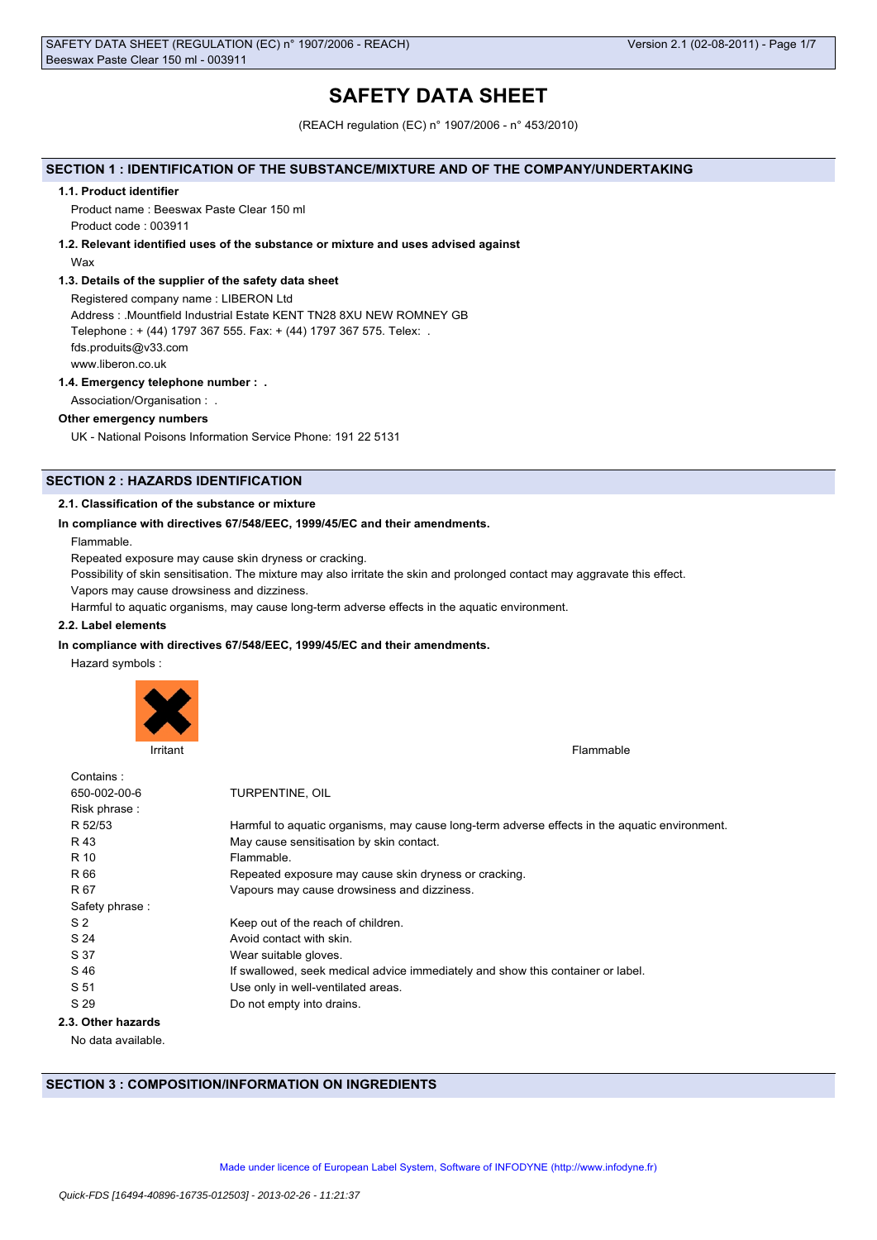# **SAFETY DATA SHEET**

(REACH regulation (EC) n° 1907/2006 - n° 453/2010)

### **SECTION 1 : IDENTIFICATION OF THE SUBSTANCE/MIXTURE AND OF THE COMPANY/UNDERTAKING**

#### **1.1. Product identifier**

Product name : Beeswax Paste Clear 150 ml Product code : 003911

### **1.2. Relevant identified uses of the substance or mixture and uses advised against**

Wax

### **1.3. Details of the supplier of the safety data sheet**

Registered company name : LIBERON Ltd Address : .Mountfield Industrial Estate KENT TN28 8XU NEW ROMNEY GB Telephone : + (44) 1797 367 555. Fax: + (44) 1797 367 575. Telex: . fds.produits@v33.com www.liberon.co.uk

### **1.4. Emergency telephone number : .**

Association/Organisation : .

### **Other emergency numbers**

UK - National Poisons Information Service Phone: 191 22 5131

## **SECTION 2 : HAZARDS IDENTIFICATION**

### **2.1. Classification of the substance or mixture**

### **In compliance with directives 67/548/EEC, 1999/45/EC and their amendments.**

Flammable.

Repeated exposure may cause skin dryness or cracking.

Possibility of skin sensitisation. The mixture may also irritate the skin and prolonged contact may aggravate this effect.

Vapors may cause drowsiness and dizziness.

Harmful to aquatic organisms, may cause long-term adverse effects in the aquatic environment.

## **2.2. Label elements**

### **In compliance with directives 67/548/EEC, 1999/45/EC and their amendments.**

Hazard symbols :



Irritant Flammable **Institute of the Community Community** Community Community Community Community Community Community Community Community Community Community Community Community Community Community Community Community Comm

| Contains:          |                                                                                               |
|--------------------|-----------------------------------------------------------------------------------------------|
| 650-002-00-6       | TURPENTINE, OIL                                                                               |
| Risk phrase:       |                                                                                               |
| R 52/53            | Harmful to aquatic organisms, may cause long-term adverse effects in the aquatic environment. |
| R 43               | May cause sensitisation by skin contact.                                                      |
| R 10               | Flammable.                                                                                    |
| R 66               | Repeated exposure may cause skin dryness or cracking.                                         |
| R 67               | Vapours may cause drowsiness and dizziness.                                                   |
| Safety phrase:     |                                                                                               |
| S <sub>2</sub>     | Keep out of the reach of children.                                                            |
| S 24               | Avoid contact with skin.                                                                      |
| S 37               | Wear suitable gloves.                                                                         |
| S 46               | If swallowed, seek medical advice immediately and show this container or label.               |
| S 51               | Use only in well-ventilated areas.                                                            |
| S 29               | Do not empty into drains.                                                                     |
| 2.3. Other hazards |                                                                                               |
|                    |                                                                                               |

No data available.

## **SECTION 3 : COMPOSITION/INFORMATION ON INGREDIENTS**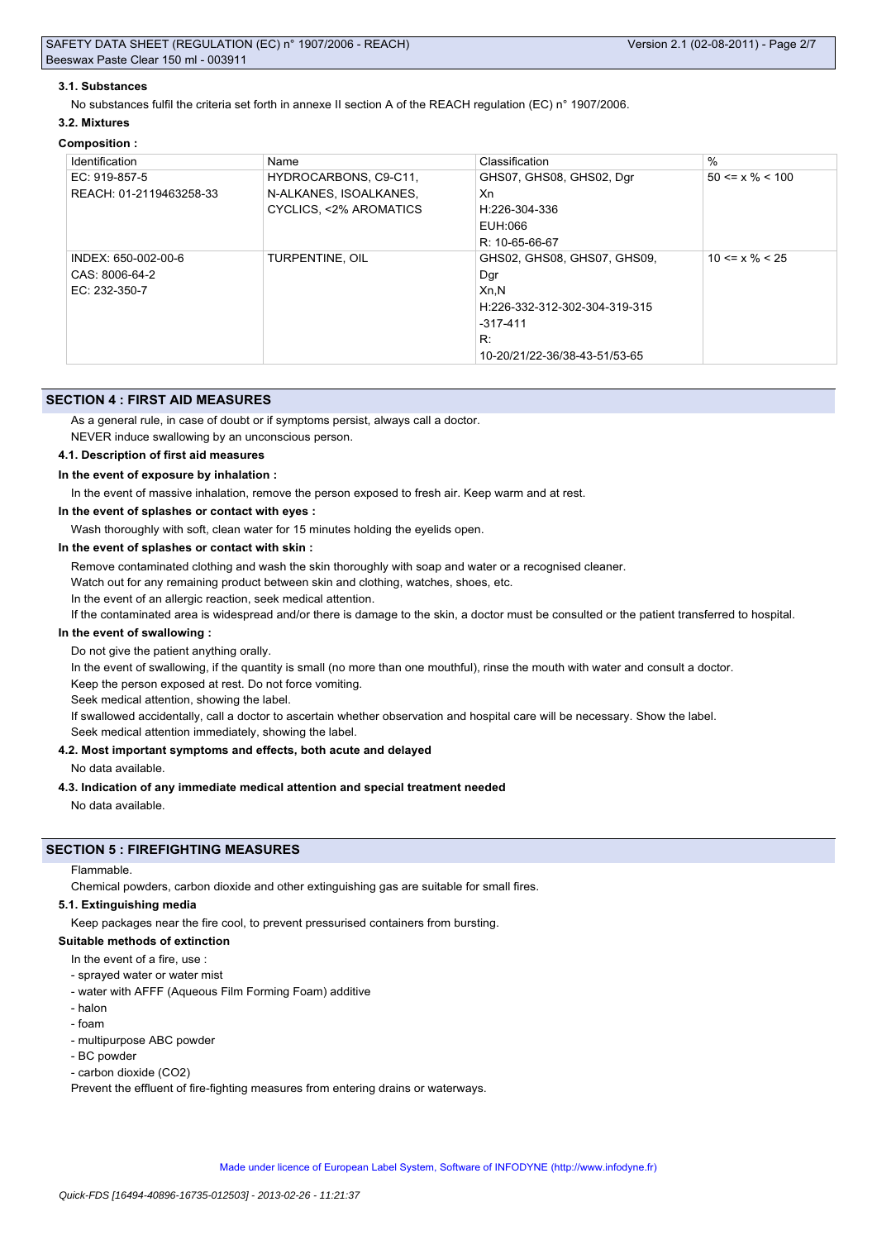### **3.1. Substances**

No substances fulfil the criteria set forth in annexe II section A of the REACH regulation (EC) n° 1907/2006.

#### **3.2. Mixtures**

#### **Composition :**

| Identification          | Name                   | Classification                | $\%$                  |
|-------------------------|------------------------|-------------------------------|-----------------------|
| EC: 919-857-5           | HYDROCARBONS, C9-C11,  | GHS07, GHS08, GHS02, Dgr      | $50 \le x \% \le 100$ |
| REACH: 01-2119463258-33 | N-ALKANES, ISOALKANES, | Xn                            |                       |
|                         | CYCLICS, <2% AROMATICS | H:226-304-336                 |                       |
|                         |                        | EUH:066                       |                       |
|                         |                        | $R: 10 - 65 - 66 - 67$        |                       |
| INDEX: 650-002-00-6     | <b>TURPENTINE, OIL</b> | GHS02, GHS08, GHS07, GHS09,   | $10 \le x \% \le 25$  |
| CAS: 8006-64-2          |                        | Dar                           |                       |
| EC: 232-350-7           |                        | Xn, N                         |                       |
|                         |                        | H:226-332-312-302-304-319-315 |                       |
|                         |                        | $-317-411$                    |                       |
|                         |                        | R:                            |                       |
|                         |                        | 10-20/21/22-36/38-43-51/53-65 |                       |

### **SECTION 4 : FIRST AID MEASURES**

As a general rule, in case of doubt or if symptoms persist, always call a doctor.

NEVER induce swallowing by an unconscious person.

### **4.1. Description of first aid measures**

#### **In the event of exposure by inhalation :**

In the event of massive inhalation, remove the person exposed to fresh air. Keep warm and at rest.

**In the event of splashes or contact with eyes :**

Wash thoroughly with soft, clean water for 15 minutes holding the eyelids open.

#### **In the event of splashes or contact with skin :**

Remove contaminated clothing and wash the skin thoroughly with soap and water or a recognised cleaner.

Watch out for any remaining product between skin and clothing, watches, shoes, etc.

In the event of an allergic reaction, seek medical attention.

If the contaminated area is widespread and/or there is damage to the skin, a doctor must be consulted or the patient transferred to hospital.

### **In the event of swallowing :**

Do not give the patient anything orally.

In the event of swallowing, if the quantity is small (no more than one mouthful), rinse the mouth with water and consult a doctor.

Keep the person exposed at rest. Do not force vomiting.

Seek medical attention, showing the label.

If swallowed accidentally, call a doctor to ascertain whether observation and hospital care will be necessary. Show the label.

Seek medical attention immediately, showing the label.

### **4.2. Most important symptoms and effects, both acute and delayed**

No data available.

#### **4.3. Indication of any immediate medical attention and special treatment needed**

No data available.

## **SECTION 5 : FIREFIGHTING MEASURES**

Flammable.

Chemical powders, carbon dioxide and other extinguishing gas are suitable for small fires.

#### **5.1. Extinguishing media**

Keep packages near the fire cool, to prevent pressurised containers from bursting.

### **Suitable methods of extinction**

- In the event of a fire, use
- sprayed water or water mist
- water with AFFF (Aqueous Film Forming Foam) additive
- halon
- foam
- multipurpose ABC powder
- BC powder
- carbon dioxide (CO2)

Prevent the effluent of fire-fighting measures from entering drains or waterways.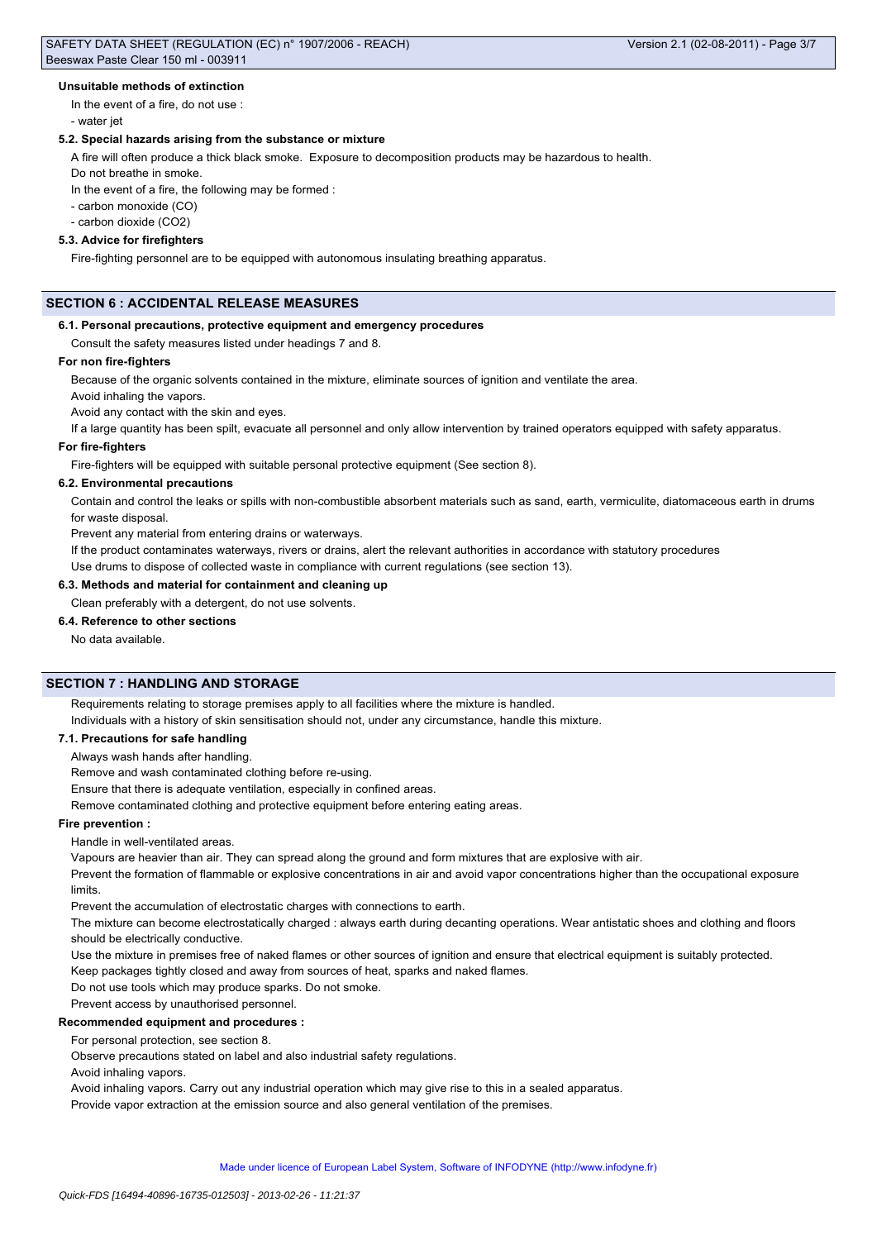#### **Unsuitable methods of extinction**

In the event of a fire, do not use : - water jet

## **5.2. Special hazards arising from the substance or mixture**

A fire will often produce a thick black smoke. Exposure to decomposition products may be hazardous to health.

Do not breathe in smoke.

In the event of a fire, the following may be formed :

- carbon monoxide (CO)

- carbon dioxide (CO2)

### **5.3. Advice for firefighters**

Fire-fighting personnel are to be equipped with autonomous insulating breathing apparatus.

## **SECTION 6 : ACCIDENTAL RELEASE MEASURES**

#### **6.1. Personal precautions, protective equipment and emergency procedures**

Consult the safety measures listed under headings 7 and 8.

#### **For non fire-fighters**

Because of the organic solvents contained in the mixture, eliminate sources of ignition and ventilate the area.

Avoid inhaling the vapors.

Avoid any contact with the skin and eyes.

If a large quantity has been spilt, evacuate all personnel and only allow intervention by trained operators equipped with safety apparatus.

### **For fire-fighters**

Fire-fighters will be equipped with suitable personal protective equipment (See section 8).

#### **6.2. Environmental precautions**

Contain and control the leaks or spills with non-combustible absorbent materials such as sand, earth, vermiculite, diatomaceous earth in drums for waste disposal.

Prevent any material from entering drains or waterways.

If the product contaminates waterways, rivers or drains, alert the relevant authorities in accordance with statutory procedures

Use drums to dispose of collected waste in compliance with current regulations (see section 13).

#### **6.3. Methods and material for containment and cleaning up**

Clean preferably with a detergent, do not use solvents.

## **6.4. Reference to other sections**

No data available.

## **SECTION 7 : HANDLING AND STORAGE**

Requirements relating to storage premises apply to all facilities where the mixture is handled.

Individuals with a history of skin sensitisation should not, under any circumstance, handle this mixture.

### **7.1. Precautions for safe handling**

Always wash hands after handling.

Remove and wash contaminated clothing before re-using.

Ensure that there is adequate ventilation, especially in confined areas.

Remove contaminated clothing and protective equipment before entering eating areas.

#### **Fire prevention :**

Handle in well-ventilated areas.

Vapours are heavier than air. They can spread along the ground and form mixtures that are explosive with air.

Prevent the formation of flammable or explosive concentrations in air and avoid vapor concentrations higher than the occupational exposure limits.

Prevent the accumulation of electrostatic charges with connections to earth.

The mixture can become electrostatically charged : always earth during decanting operations. Wear antistatic shoes and clothing and floors should be electrically conductive.

Use the mixture in premises free of naked flames or other sources of ignition and ensure that electrical equipment is suitably protected.

Keep packages tightly closed and away from sources of heat, sparks and naked flames.

Do not use tools which may produce sparks. Do not smoke.

Prevent access by unauthorised personnel.

### **Recommended equipment and procedures :**

For personal protection, see section 8.

Observe precautions stated on label and also industrial safety regulations.

Avoid inhaling vapors.

Avoid inhaling vapors. Carry out any industrial operation which may give rise to this in a sealed apparatus.

Provide vapor extraction at the emission source and also general ventilation of the premises.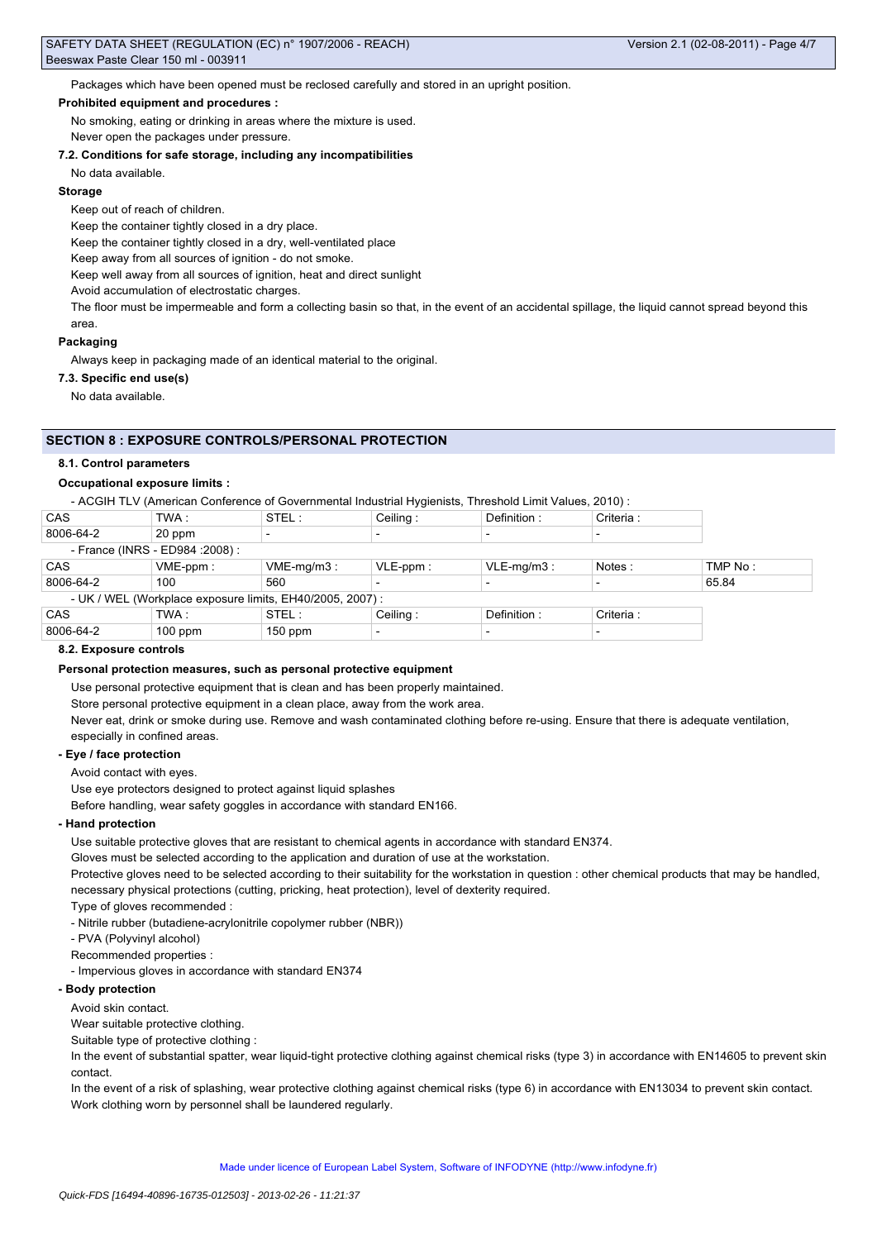Packages which have been opened must be reclosed carefully and stored in an upright position.

#### **Prohibited equipment and procedures :**

No smoking, eating or drinking in areas where the mixture is used.

Never open the packages under pressure.

### **7.2. Conditions for safe storage, including any incompatibilities**

### No data available.

#### **Storage**

Keep out of reach of children.

Keep the container tightly closed in a dry place.

Keep the container tightly closed in a dry, well-ventilated place

Keep away from all sources of ignition - do not smoke.

Keep well away from all sources of ignition, heat and direct sunlight

Avoid accumulation of electrostatic charges.

The floor must be impermeable and form a collecting basin so that, in the event of an accidental spillage, the liquid cannot spread beyond this area.

#### **Packaging**

Always keep in packaging made of an identical material to the original.

#### **7.3. Specific end use(s)**

No data available.

## **SECTION 8 : EXPOSURE CONTROLS/PERSONAL PROTECTION**

#### **8.1. Control parameters**

#### **Occupational exposure limits :**

- ACGIH TLV (American Conference of Governmental Industrial Hygienists, Threshold Limit Values, 2010) :

| <b>CAS</b>                                                | TWA :       | STEL:         | Ceiling:                 | Definition:   | Criteria : |         |
|-----------------------------------------------------------|-------------|---------------|--------------------------|---------------|------------|---------|
| 8006-64-2                                                 | 20 ppm      |               | $\overline{\phantom{a}}$ |               |            |         |
| - France (INRS - ED984 : 2008) :                          |             |               |                          |               |            |         |
| <b>CAS</b>                                                | $VME-ppm$ : | $VME-mq/m3$ : | $VLE-ppm$ :              | $VLE-mq/m3$ : | Notes:     | TMP No: |
| 8006-64-2                                                 | 100         | 560           |                          |               |            | 65.84   |
| - UK / WEL (Workplace exposure limits, EH40/2005, 2007) : |             |               |                          |               |            |         |
| <b>CAS</b>                                                | TWA :       | STEL:         | Ceiling:                 | Definition:   | Criteria : |         |
| 8006-64-2                                                 | $100$ ppm   | $150$ ppm     | $\overline{\phantom{0}}$ |               |            |         |

#### **8.2. Exposure controls**

#### **Personal protection measures, such as personal protective equipment**

Use personal protective equipment that is clean and has been properly maintained.

Store personal protective equipment in a clean place, away from the work area.

Never eat, drink or smoke during use. Remove and wash contaminated clothing before re-using. Ensure that there is adequate ventilation, especially in confined areas.

#### **- Eye / face protection**

Avoid contact with eyes.

Use eye protectors designed to protect against liquid splashes

Before handling, wear safety goggles in accordance with standard EN166.

### **- Hand protection**

Use suitable protective gloves that are resistant to chemical agents in accordance with standard EN374.

Gloves must be selected according to the application and duration of use at the workstation.

Protective gloves need to be selected according to their suitability for the workstation in question : other chemical products that may be handled, necessary physical protections (cutting, pricking, heat protection), level of dexterity required.

Type of gloves recommended :

- Nitrile rubber (butadiene-acrylonitrile copolymer rubber (NBR))

- PVA (Polyvinyl alcohol)
- Recommended properties :
- Impervious gloves in accordance with standard EN374

## **- Body protection**

Avoid skin contact.

Wear suitable protective clothing.

Suitable type of protective clothing :

In the event of substantial spatter, wear liquid-tight protective clothing against chemical risks (type 3) in accordance with EN14605 to prevent skin contact.

In the event of a risk of splashing, wear protective clothing against chemical risks (type 6) in accordance with EN13034 to prevent skin contact. Work clothing worn by personnel shall be laundered regularly.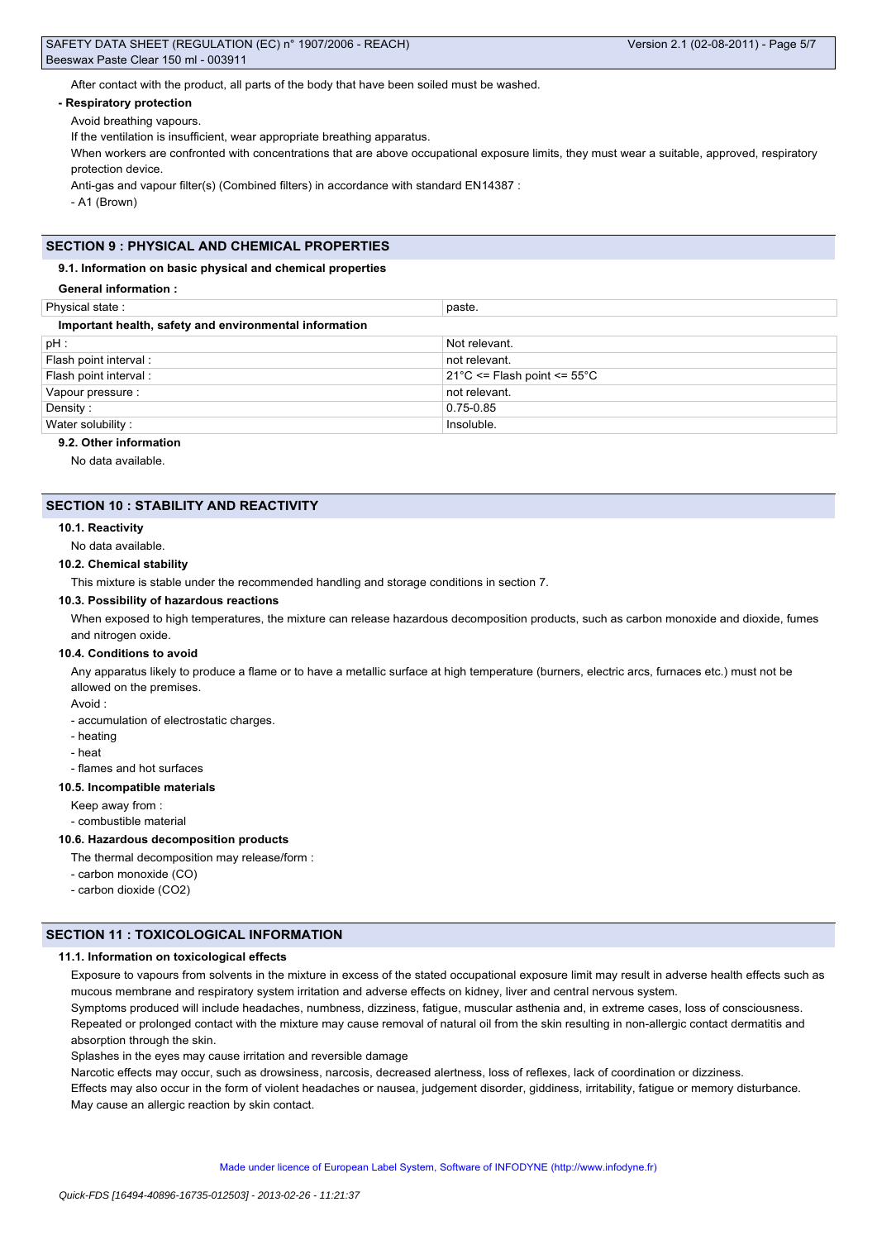After contact with the product, all parts of the body that have been soiled must be washed.

#### **- Respiratory protection**

Avoid breathing vapours.

If the ventilation is insufficient, wear appropriate breathing apparatus.

When workers are confronted with concentrations that are above occupational exposure limits, they must wear a suitable, approved, respiratory protection device.

Anti-gas and vapour filter(s) (Combined filters) in accordance with standard EN14387 :

- A1 (Brown)

## **SECTION 9 : PHYSICAL AND CHEMICAL PROPERTIES**

#### **9.1. Information on basic physical and chemical properties**

**General information :**

| Physical state:                                        | paste.                                           |  |  |  |
|--------------------------------------------------------|--------------------------------------------------|--|--|--|
| Important health, safety and environmental information |                                                  |  |  |  |
| $pH$ :                                                 | Not relevant.                                    |  |  |  |
| Flash point interval:                                  | not relevant.                                    |  |  |  |
| Flash point interval :                                 | $21^{\circ}$ C <= Flash point <= 55 $^{\circ}$ C |  |  |  |
| Vapour pressure :                                      | not relevant.                                    |  |  |  |
| Density:                                               | 0.75-0.85                                        |  |  |  |
| Water solubility:                                      | Insoluble.                                       |  |  |  |
| $\sim$ $\sim$ $\sim$ $\sim$ $\sim$ $\sim$              |                                                  |  |  |  |

## **9.2. Other information**

No data available.

### **SECTION 10 : STABILITY AND REACTIVITY**

#### **10.1. Reactivity**

No data available.

#### **10.2. Chemical stability**

This mixture is stable under the recommended handling and storage conditions in section 7.

#### **10.3. Possibility of hazardous reactions**

When exposed to high temperatures, the mixture can release hazardous decomposition products, such as carbon monoxide and dioxide, fumes and nitrogen oxide.

#### **10.4. Conditions to avoid**

Any apparatus likely to produce a flame or to have a metallic surface at high temperature (burners, electric arcs, furnaces etc.) must not be allowed on the premises.

Avoid :

- accumulation of electrostatic charges.

- heating
- heat
- flames and hot surfaces

## **10.5. Incompatible materials**

Keep away from :

- combustible material

#### **10.6. Hazardous decomposition products**

The thermal decomposition may release/form :

- carbon monoxide (CO)
- carbon dioxide (CO2)

### **SECTION 11 : TOXICOLOGICAL INFORMATION**

### **11.1. Information on toxicological effects**

Exposure to vapours from solvents in the mixture in excess of the stated occupational exposure limit may result in adverse health effects such as mucous membrane and respiratory system irritation and adverse effects on kidney, liver and central nervous system.

Symptoms produced will include headaches, numbness, dizziness, fatigue, muscular asthenia and, in extreme cases, loss of consciousness. Repeated or prolonged contact with the mixture may cause removal of natural oil from the skin resulting in non-allergic contact dermatitis and absorption through the skin.

Splashes in the eyes may cause irritation and reversible damage

Narcotic effects may occur, such as drowsiness, narcosis, decreased alertness, loss of reflexes, lack of coordination or dizziness.

Effects may also occur in the form of violent headaches or nausea, judgement disorder, giddiness, irritability, fatigue or memory disturbance. May cause an allergic reaction by skin contact.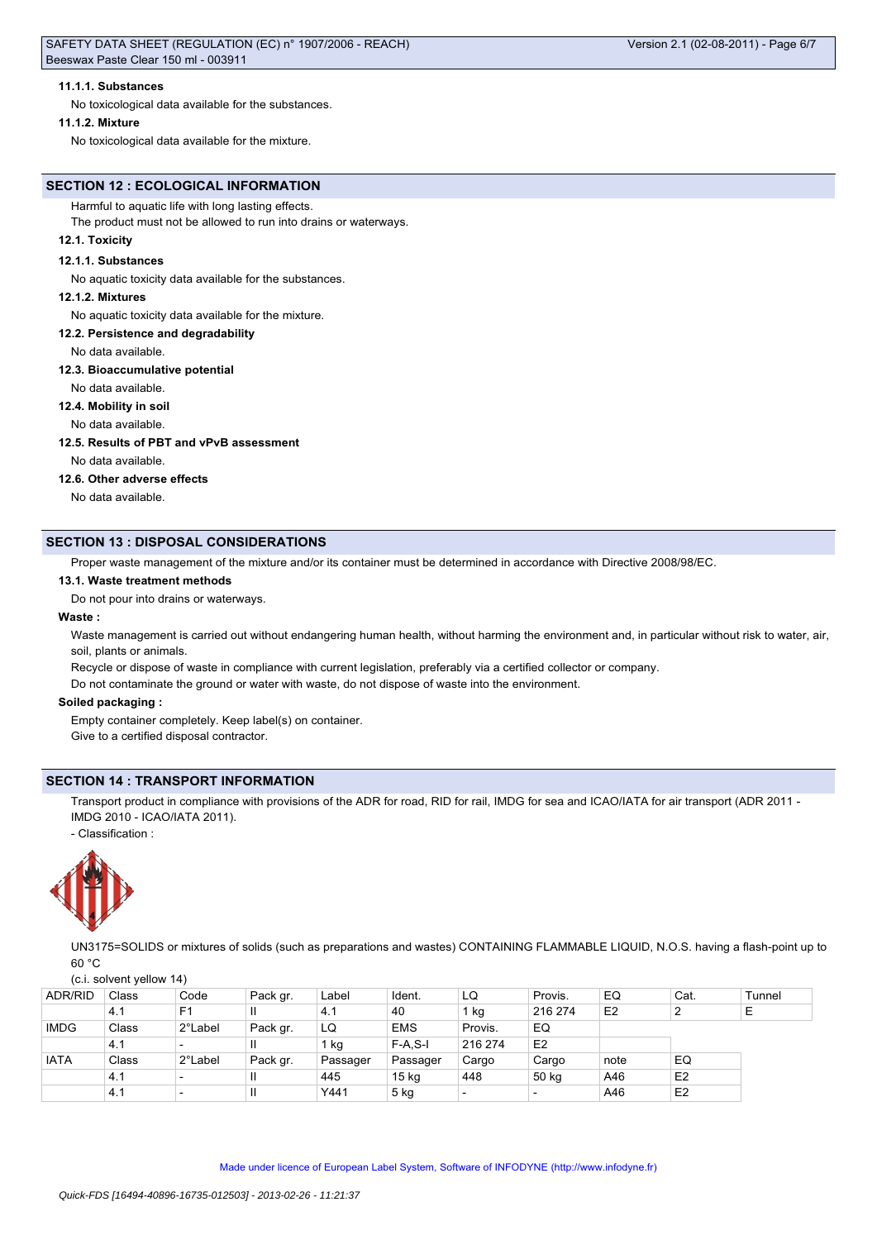No toxicological data available for the substances.

#### **11.1.2. Mixture**

No toxicological data available for the mixture.

# **SECTION 12 : ECOLOGICAL INFORMATION**

## Harmful to aquatic life with long lasting effects.

The product must not be allowed to run into drains or waterways.

## **12.1. Toxicity**

## **12.1.1. Substances**

No aquatic toxicity data available for the substances.

## **12.1.2. Mixtures**

No aquatic toxicity data available for the mixture.

**12.2. Persistence and degradability**

### No data available.

## **12.3. Bioaccumulative potential**

No data available.

## **12.4. Mobility in soil**

No data available.

## **12.5. Results of PBT and vPvB assessment**

No data available.

## **12.6. Other adverse effects**

No data available.

# **SECTION 13 : DISPOSAL CONSIDERATIONS**

Proper waste management of the mixture and/or its container must be determined in accordance with Directive 2008/98/EC.

## **13.1. Waste treatment methods**

Do not pour into drains or waterways.

## **Waste :**

Waste management is carried out without endangering human health, without harming the environment and, in particular without risk to water, air, soil, plants or animals.

Recycle or dispose of waste in compliance with current legislation, preferably via a certified collector or company.

Do not contaminate the ground or water with waste, do not dispose of waste into the environment.

## **Soiled packaging :**

Empty container completely. Keep label(s) on container.

Give to a certified disposal contractor.

# **SECTION 14 : TRANSPORT INFORMATION**

Transport product in compliance with provisions of the ADR for road, RID for rail, IMDG for sea and ICAO/IATA for air transport (ADR 2011 -IMDG 2010 - ICAO/IATA 2011).

- Classification :



UN3175=SOLIDS or mixtures of solids (such as preparations and wastes) CONTAINING FLAMMABLE LIQUID, N.O.S. having a flash-point up to  $60 °C$ 

#### (c.i. solvent yellow 14)

| <b>ADR/RID</b> | Class | Code                     | Pack gr.     | Label    | Ident.           | LQ                       | Provis.                  | EQ             | Cat.           | Tunnel |
|----------------|-------|--------------------------|--------------|----------|------------------|--------------------------|--------------------------|----------------|----------------|--------|
|                | 4.1   | F <sub>1</sub>           |              | 4.1      | 40               | l kg                     | 216 274                  | E <sub>2</sub> | ∼              | Ε      |
| <b>IMDG</b>    | Class | 2°Label                  | Pack gr.     | LQ       | <b>EMS</b>       | Provis.                  | EQ                       |                |                |        |
|                | 4.1   |                          |              | ' kg     | $F-A.S-I$        | 216 274                  | E <sub>2</sub>           |                |                |        |
| <b>IATA</b>    | Class | 2°Label                  | Pack gr.     | Passager | Passager         | Cargo                    | Cargo                    | note           | EQ             |        |
|                | 4.1   | $\overline{\phantom{0}}$ | Ш            | 445      | 15 <sub>kg</sub> | 448                      | 50 kg                    | A46            | E <sub>2</sub> |        |
|                | 4.1   |                          | $\mathsf{I}$ | Y441     | $5$ kg           | $\overline{\phantom{a}}$ | $\overline{\phantom{0}}$ | A46            | E <sub>2</sub> |        |